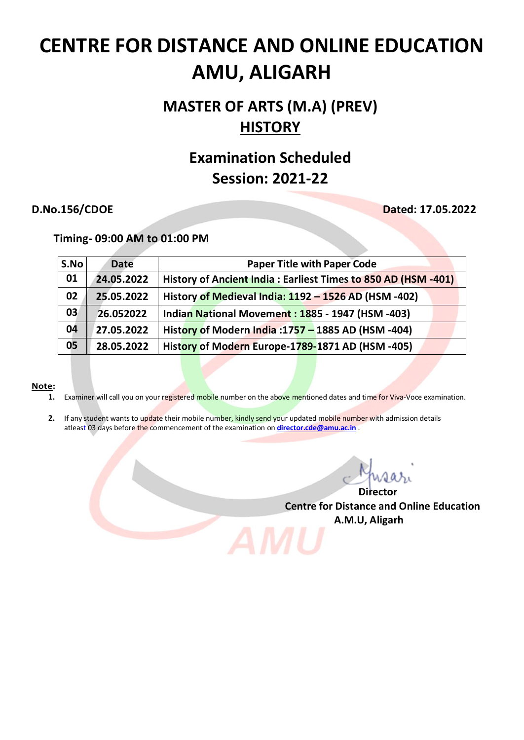# **MASTER OF ARTS (M.A) (PREV) HISTORY**

# **Examination Scheduled Session: 2021-22**

**D.No.156/CDOE Dated: 17.05.2022**

 **Timing- 09:00 AM to 01:00 PM**

| S.No | <b>Date</b> | <b>Paper Title with Paper Code</b>                            |
|------|-------------|---------------------------------------------------------------|
| 01   | 24.05.2022  | History of Ancient India: Earliest Times to 850 AD (HSM -401) |
| 02   | 25.05.2022  | History of Medieval India: 1192 - 1526 AD (HSM -402)          |
| 03   | 26.052022   | Indian National Movement: 1885 - 1947 (HSM -403)              |
| 04   | 27.05.2022  | History of Modern India : 1757 - 1885 AD (HSM - 404)          |
| 05   | 28.05.2022  | History of Modern Europe-1789-1871 AD (HSM-405)               |

### **Note:**

- **1.** Examiner will call you on your registered mobile number on the above mentioned dates and time for Viva-Voce examination.
- **2.** If any student wants to update their mobile number, kindly send your updated mobile number with admission details atleast 03 days before the commencement of the examination on **[director.cde@amu.ac.in](mailto:director.cde@amu.ac.in)** .

*Director* **Director** 

**Centre for Distance and Online Education A.M.U, Aligarh**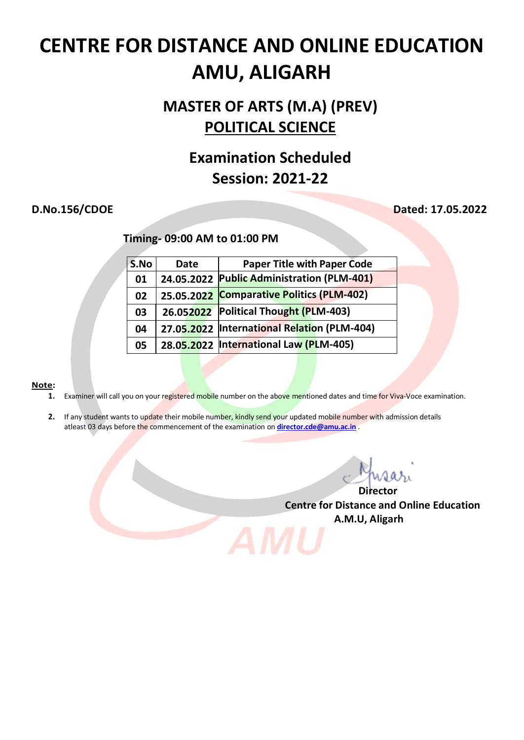# **MASTER OF ARTS (M.A) (PREV) POLITICAL SCIENCE**

## **Examination Scheduled Session: 2021-22**

## **D.No.156/CDOE Dated: 17.05.2022**

 **Timing- 09:00 AM to 01:00 PM**

| S.No | <b>Date</b> | <b>Paper Title with Paper Code</b>           |
|------|-------------|----------------------------------------------|
| 01   |             | 24.05.2022 Public Administration (PLM-401)   |
| 02   |             | 25.05.2022 Comparative Politics (PLM-402)    |
| 03   |             | 26.052022 Political Thought (PLM-403)        |
| 04   |             | 27.05.2022  International Relation (PLM-404) |
| 05   |             | 28.05.2022  International Law (PLM-405)      |

### **Note:**

- **1.** Examiner will call you on your registered mobile number on the above mentioned dates and time for Viva-Voce examination.
- **2.** If any student wants to update their mobile number, kindly send your updated mobile number with admission details atleast 03 days before the commencement of the examination on **[director.cde@amu.ac.in](mailto:director.cde@amu.ac.in)** .

*Director* **Director** 

**Centre for Distance and Online Education A.M.U, Aligarh**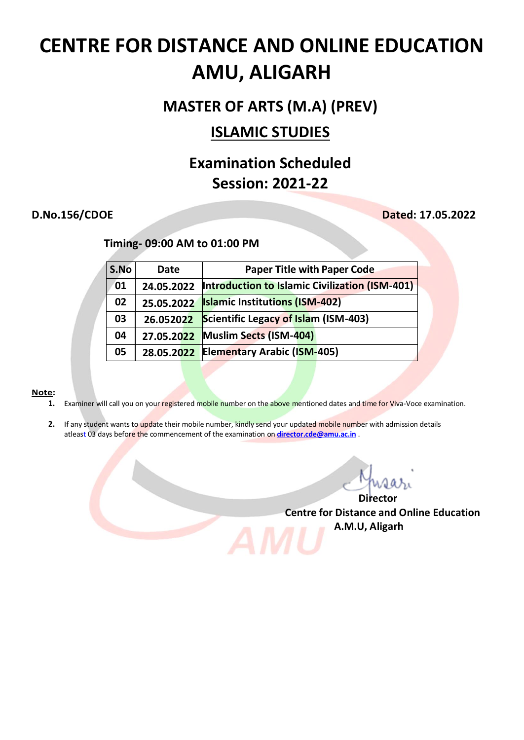## **MASTER OF ARTS (M.A) (PREV)**

## **ISLAMIC STUDIES**

# **Examination Scheduled Session: 2021-22**

## **D.No.156/CDOE Dated: 17.05.2022**

## **Timing- 09:00 AM to 01:00 PM**

| S.No | Date       | <b>Paper Title with Paper Code</b>                    |
|------|------------|-------------------------------------------------------|
| 01   | 24.05.2022 | <b>Introduction to Islamic Civilization (ISM-401)</b> |
| 02   | 25.05.2022 | <b>Islamic Institutions (ISM-402)</b>                 |
| 03   | 26.052022  | <b>Scientific Legacy of Islam (ISM-403)</b>           |
| 04   | 27.05.2022 | Muslim Sects (ISM-404)                                |
| 05   | 28.05.2022 | <b>Elementary Arabic (ISM-405)</b>                    |

### **Note:**

- 1. Examiner will call you on your registered mobile number on the above mentioned dates and time for Viva-Voce examination.
- **2.** If any student wants to update their mobile number, kindly send your updated mobile number with admission details atleast 03 days before the commencement of the examination on **[director.cde@amu.ac.in](mailto:director.cde@amu.ac.in)** .

*Director* **Director Centre for Distance and Online Education A.M.U, Aligarh**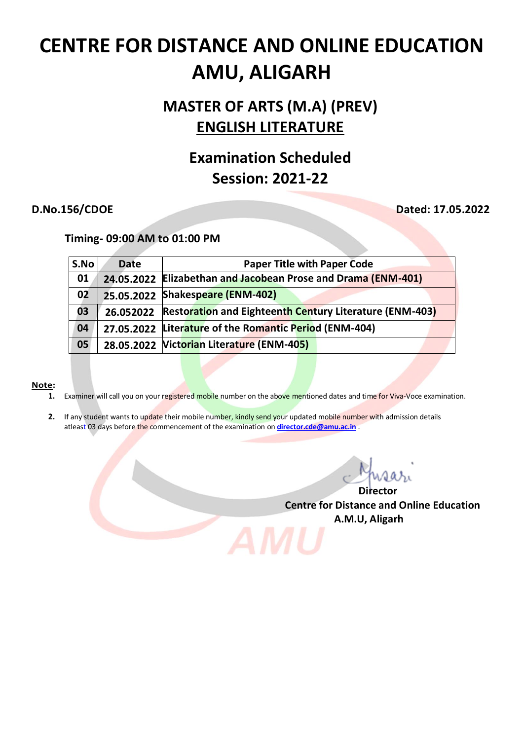# **MASTER OF ARTS (M.A) (PREV) ENGLISH LITERATURE**

# **Examination Scheduled Session: 2021-22**

**D.No.156/CDOE Dated: 17.05.2022**

 **Timing- 09:00 AM to 01:00 PM**

| S.No | <b>Date</b> | <b>Paper Title with Paper Code</b>                                |
|------|-------------|-------------------------------------------------------------------|
| 01   |             | 24.05.2022 Elizabethan and Jacobean Prose and Drama (ENM-401)     |
| 02   |             | 25.05.2022 Shakespeare (ENM-402)                                  |
| 03   |             | 26.052022 Restoration and Eighteenth Century Literature (ENM-403) |
| 04   |             | 27.05.2022 Literature of the Romantic Period (ENM-404)            |
| 05   |             | 28.05.2022 Victorian Literature (ENM-405)                         |

### **Note:**

- **1.** Examiner will call you on your registered mobile number on the above mentioned dates and time for Viva-Voce examination.
- **2.** If any student wants to update their mobile number, kindly send your updated mobile number with admission details atleast 03 days before the commencement of the examination on **[director.cde@amu.ac.in](mailto:director.cde@amu.ac.in)** .

*Director* **Director** 

**Centre for Distance and Online Education A.M.U, Aligarh**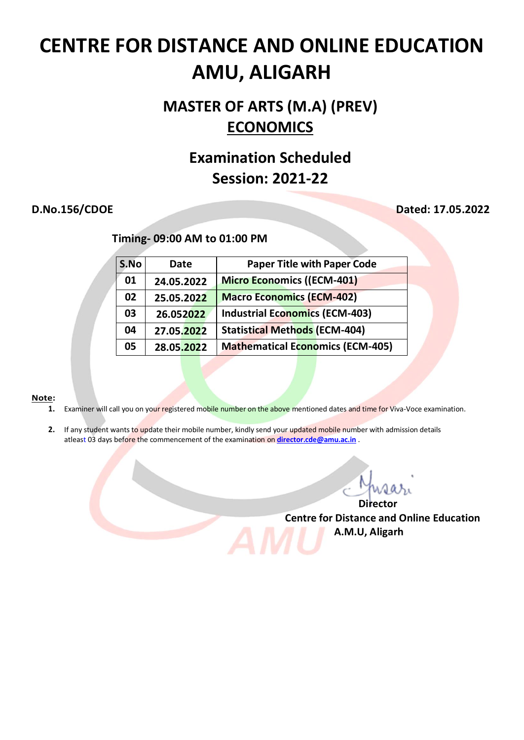# **MASTER OF ARTS (M.A) (PREV) ECONOMICS**

## **Examination Scheduled Session: 2021-22**

## **D.No.156/CDOE Dated: 17.05.2022**

 **Timing- 09:00 AM to 01:00 PM**

| S.No | Date       | <b>Paper Title with Paper Code</b>      |
|------|------------|-----------------------------------------|
| 01   | 24.05.2022 | <b>Micro Economics ((ECM-401)</b>       |
| 02   | 25.05.2022 | <b>Macro Economics (ECM-402)</b>        |
| 03   | 26.052022  | <b>Industrial Economics (ECM-403)</b>   |
| 04   | 27.05.2022 | <b>Statistical Methods (ECM-404)</b>    |
| 05   | 28.05.2022 | <b>Mathematical Economics (ECM-405)</b> |

### **Note:**

- **1.** Examiner will call you on your registered mobile number on the above mentioned dates and time for Viva-Voce examination.
- 2. If any student wants to update their mobile number, kindly send your updated mobile number with admission details atleast 03 days before the commencement of the examination on **[director.cde@amu.ac.in](mailto:director.cde@amu.ac.in)** .

*Director* **Director Centre for Distance and Online Education**

 **A.M.U, Aligarh**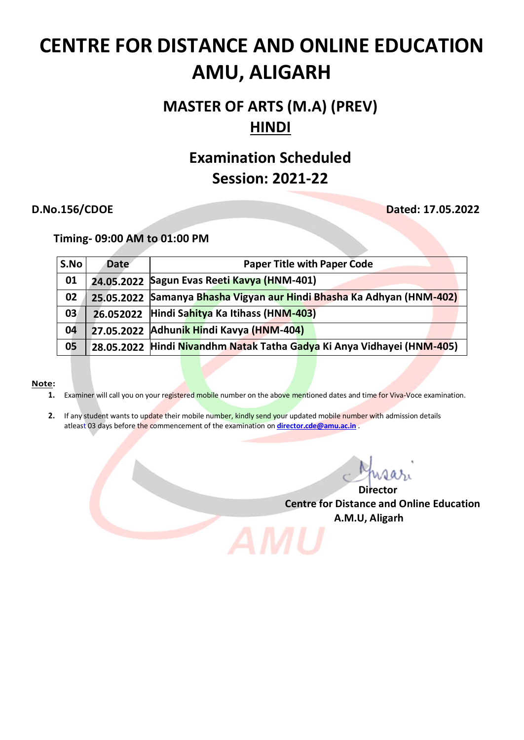# **MASTER OF ARTS (M.A) (PREV) HINDI**

## **Examination Scheduled Session: 2021-22**

**D.No.156/CDOE Dated: 17.05.2022**

 **Timing- 09:00 AM to 01:00 PM**

| S.No | <b>Date</b> | <b>Paper Title with Paper Code</b>                                     |
|------|-------------|------------------------------------------------------------------------|
| 01   |             | 24.05.2022 Sagun Evas Reeti Kavya (HNM-401)                            |
| 02   |             | 25.05.2022 Samanya Bhasha Vigyan aur Hindi Bhasha Ka Adhyan (HNM-402)  |
| 03   | 26.052022   | Hindi Sahitya Ka Itihass (HNM-403)                                     |
| 04   |             | 27.05.2022 Adhunik Hindi Kavya (HNM-404)                               |
| 05   |             | 28.05.2022 Hindi Nivandhm Natak Tatha Gadya Ki Anya Vidhayei (HNM-405) |

### **Note:**

- **1.** Examiner will call you on your registered mobile number on the above mentioned dates and time for Viva-Voce examination.
- **2.** If any student wants to update their mobile number, kindly send your updated mobile number with admission details atleast 03 days before the commencement of the examination on **[director.cde@amu.ac.in](mailto:director.cde@amu.ac.in)** .

*Director* **Director Centre for Distance and Online Education A.M.U, Aligarh**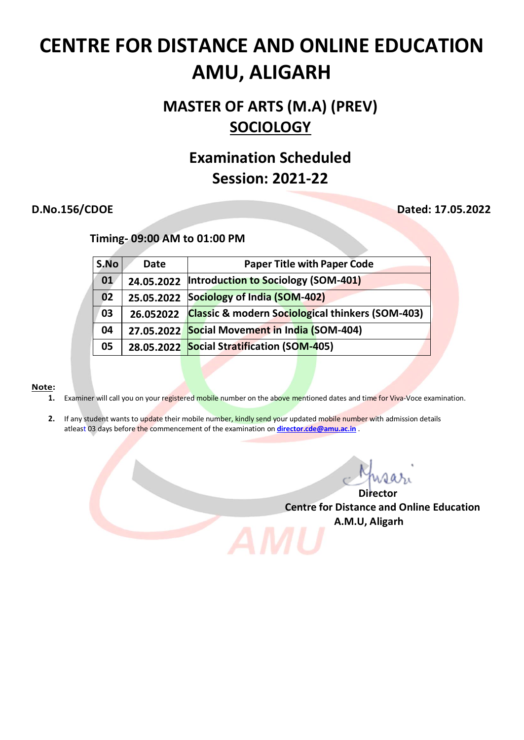# **MASTER OF ARTS (M.A) (PREV) SOCIOLOGY**

## **Examination Scheduled Session: 2021-22**

**D.No.156/CDOE Dated: 17.05.2022**

 **Timing- 09:00 AM to 01:00 PM**

| S.No | Date       | <b>Paper Title with Paper Code</b>                          |
|------|------------|-------------------------------------------------------------|
| 01   |            | 24.05.2022  Introduction to Sociology (SOM-401)             |
| 02   | 25.05.2022 | Sociology of India (SOM-402)                                |
| 03   | 26.052022  | <b>Classic &amp; modern Sociological thinkers (SOM-403)</b> |
| 04   | 27.05.2022 | Social Movement in India (SOM-404)                          |
| 05   |            | 28.05.2022 Social Stratification (SOM-405)                  |

### **Note:**

- 1. Examiner will call you on your registered mobile number on the above mentioned dates and time for Viva-Voce examination.
- **2.** If any student wants to update their mobile number, kindly send your updated mobile number with admission details atleast 03 days before the commencement of the examination on **[director.cde@amu.ac.in](mailto:director.cde@amu.ac.in)** .

*Director* **Director Centre for Distance and Online Education A.M.U, Aligarh**